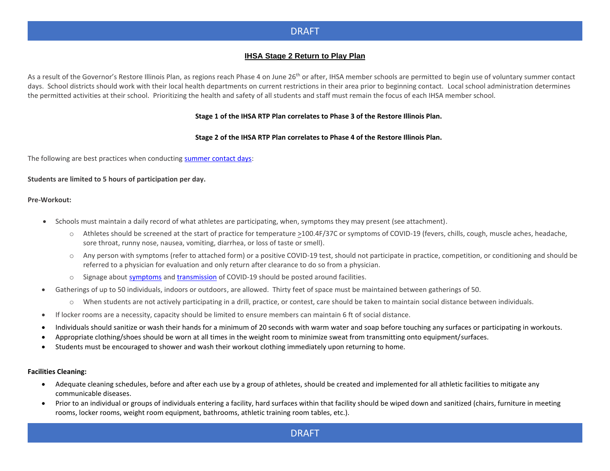### **IHSA Stage 2 Return to Play Plan**

As a result of the Governor's Restore Illinois Plan, as regions reach Phase 4 on June 26<sup>th</sup> or after, IHSA member schools are permitted to begin use of voluntary summer contact days. School districts should work with their local health departments on current restrictions in their area prior to beginning contact. Local school administration determines the permitted activities at their school. Prioritizing the health and safety of all students and staff must remain the focus of each IHSA member school.

#### **Stage 1 of the IHSA RTP Plan correlates to Phase 3 of the Restore Illinois Plan.**

#### **Stage 2 of the IHSA RTP Plan correlates to Phase 4 of the Restore Illinois Plan.**

The following are best practices when conductin[g summer contact days:](https://www.ihsa.org/documents/forms/current/IHSA_Section3.pdf#page=25)

#### **Students are limited to 5 hours of participation per day.**

#### **Pre-Workout:**

- Schools must maintain a daily record of what athletes are participating, when, symptoms they may present (see attachment).
	- o Athletes should be screened at the start of practice for temperature >100.4F/37C or symptoms of COVID-19 (fevers, chills, cough, muscle aches, headache, sore throat, runny nose, nausea, vomiting, diarrhea, or loss of taste or smell).
	- o Any person with symptoms (refer to attached form) or a positive COVID-19 test, should not participate in practice, competition, or conditioning and should be referred to a physician for evaluation and only return after clearance to do so from a physician.
	- o Signage about [symptoms](https://www.cdc.gov/coronavirus/2019-ncov/downloads/COVID19-symptoms.pdf) and [transmission](https://www.cdc.gov/coronavirus/2019-ncov/downloads/stop-the-spread-of-germs.pdf) of COVID-19 should be posted around facilities.
- Gatherings of up to 50 individuals, indoors or outdoors, are allowed. Thirty feet of space must be maintained between gatherings of 50.
	- o When students are not actively participating in a drill, practice, or contest, care should be taken to maintain social distance between individuals.
- If locker rooms are a necessity, capacity should be limited to ensure members can maintain 6 ft of social distance.
- Individuals should sanitize or wash their hands for a minimum of 20 seconds with warm water and soap before touching any surfaces or participating in workouts.
- Appropriate clothing/shoes should be worn at all times in the weight room to minimize sweat from transmitting onto equipment/surfaces.
- Students must be encouraged to shower and wash their workout clothing immediately upon returning to home.

#### **Facilities Cleaning:**

- Adequate cleaning schedules, before and after each use by a group of athletes, should be created and implemented for all athletic facilities to mitigate any communicable diseases.
- Prior to an individual or groups of individuals entering a facility, hard surfaces within that facility should be wiped down and sanitized (chairs, furniture in meeting rooms, locker rooms, weight room equipment, bathrooms, athletic training room tables, etc.).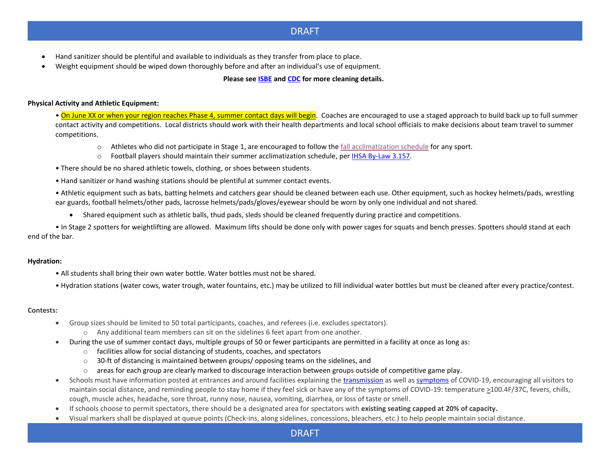- Hand sanitizer should be plentiful and available to individuals as they transfer from place to place.
- Weight equipment should be wiped down thoroughly before and after an individual's use of equipment.

#### **Please see [ISBE](https://www.isbe.net/Documents/IDPH-ISBE-Summer-Programs-Guidance.pdf) an[d CDC](https://www.cdc.gov/coronavirus/2019-ncov/community/pdf/Reopening_America_Guidance.pdf) for more cleaning details.**

#### **Physical Activity and Athletic Equipment:**

• On June XX or when your region reaches Phase 4, summer contact days will begin. Coaches are encouraged to use a staged approach to build back up to full summer contact activity and competitions. Local districts should work with their health departments and local school officials to make decisions about team travel to summer competitions.

- $\circ$  Athletes who did not participate in Stage 1, are encouraged to follow the [fall acclimatization schedule](https://www.ihsa.org/documents/forms/current/IHSA_Policies.pdf#page=38) for any sport.
- o Football players should maintain their summer acclimatization schedule, pe[r IHSA By-Law 3.157.](https://www.ihsa.org/documents/forms/current/IHSA_Section3.pdf#page=25)
- There should be no shared athletic towels, clothing, or shoes between students.
- Hand sanitizer or hand washing stations should be plentiful at summer contact events.

• Athletic equipment such as bats, batting helmets and catchers gear should be cleaned between each use. Other equipment, such as hockey helmets/pads, wrestling ear guards, football helmets/other pads, lacrosse helmets/pads/gloves/eyewear should be worn by only one individual and not shared.

• Shared equipment such as athletic balls, thud pads, sleds should be cleaned frequently during practice and competitions.

• In Stage 2 spotters for weightlifting are allowed. Maximum lifts should be done only with power cages for squats and bench presses. Spotters should stand at each end of the bar.

#### **Hydration:**

- All students shall bring their own water bottle. Water bottles must not be shared.
- Hydration stations (water cows, water trough, water fountains, etc.) may be utilized to fill individual water bottles but must be cleaned after every practice/contest.

#### **Contests:**

- Group sizes should be limited to 50 total participants, coaches, and referees (i.e. excludes spectators).
	- o Any additional team members can sit on the sidelines 6 feet apart from one another.
- During the use of summer contact days, multiple groups of 50 or fewer participants are permitted in a facility at once as long as:
	- o facilities allow for social distancing of students, coaches, and spectators
	- $\circ$  30-ft of distancing is maintained between groups/opposing teams on the sidelines, and
	- $\circ$  areas for each group are clearly marked to discourage interaction between groups outside of competitive game play.
- Schools must have information posted at entrances and around facilities explaining the [transmission](https://www.cdc.gov/coronavirus/2019-ncov/downloads/stop-the-spread-of-germs.pdf) as well as [symptoms](https://www.cdc.gov/coronavirus/2019-ncov/downloads/COVID19-symptoms.pdf) of COVID-19, encouraging all visitors to maintain social distance, and reminding people to stay home if they feel sick or have any of the symptoms of COVID-19: temperature >100.4F/37C, fevers, chills, cough, muscle aches, headache, sore throat, runny nose, nausea, vomiting, diarrhea, or loss of taste or smell.
- If schools choose to permit spectators, there should be a designated area for spectators with **existing seating capped at 20% of capacity.**
- Visual markers shall be displayed at queue points (Check-ins, along sidelines, concessions, bleachers, etc.) to help people maintain social distance.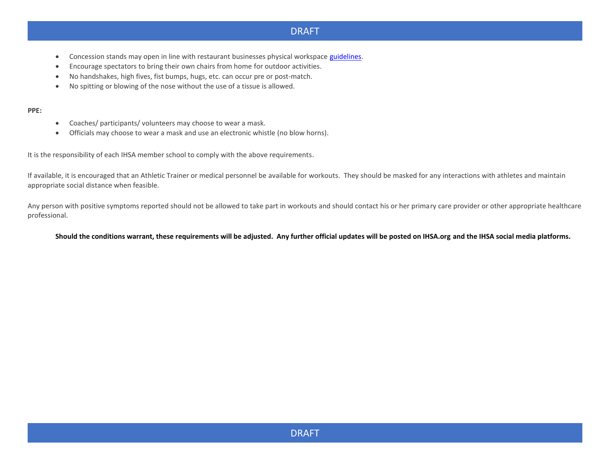- Concession stands may open in line with restaurant businesses physical workspace [guidelines.](http://dph.illinois.gov/topics-services/diseases-and-conditions/diseases-a-z-list/coronavirus/business-guidance/food-service)
- Encourage spectators to bring their own chairs from home for outdoor activities.
- No handshakes, high fives, fist bumps, hugs, etc. can occur pre or post-match.
- No spitting or blowing of the nose without the use of a tissue is allowed.

#### **PPE:**

- Coaches/ participants/ volunteers may choose to wear a mask.
- Officials may choose to wear a mask and use an electronic whistle (no blow horns).

It is the responsibility of each IHSA member school to comply with the above requirements.

If available, it is encouraged that an Athletic Trainer or medical personnel be available for workouts. They should be masked for any interactions with athletes and maintain appropriate social distance when feasible.

Any person with positive symptoms reported should not be allowed to take part in workouts and should contact his or her primary care provider or other appropriate healthcare professional.

#### **Should the conditions warrant, these requirements will be adjusted. Any further official updates will be posted on IHSA.org and the IHSA social media platforms.**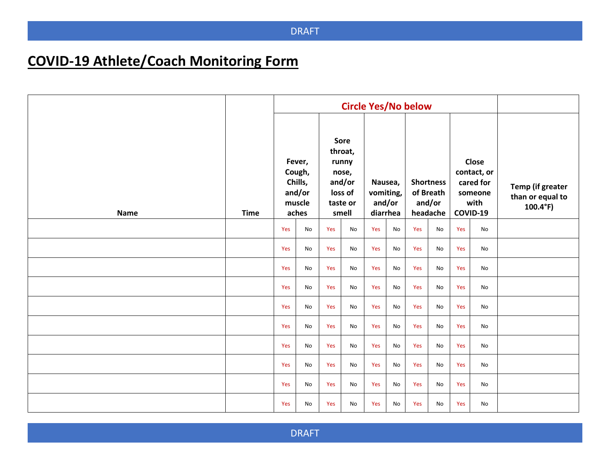# **COVID-19 Athlete/Coach Monitoring Form**

|      |             | <b>Circle Yes/No below</b>                               |    |                                                                             |    |                                            |    |                                                     |    |                                                                  |    |                                                           |
|------|-------------|----------------------------------------------------------|----|-----------------------------------------------------------------------------|----|--------------------------------------------|----|-----------------------------------------------------|----|------------------------------------------------------------------|----|-----------------------------------------------------------|
| Name | <b>Time</b> | Fever,<br>Cough,<br>Chills,<br>and/or<br>muscle<br>aches |    | Sore<br>throat,<br>runny<br>nose,<br>and/or<br>loss of<br>taste or<br>smell |    | Nausea,<br>vomiting,<br>and/or<br>diarrhea |    | <b>Shortness</b><br>of Breath<br>and/or<br>headache |    | Close<br>contact, or<br>cared for<br>someone<br>with<br>COVID-19 |    | Temp (if greater<br>than or equal to<br>$100.4^{\circ}F)$ |
|      |             | Yes                                                      | No | Yes                                                                         | No | Yes                                        | No | Yes                                                 | No | Yes                                                              | No |                                                           |
|      |             | Yes                                                      | No | Yes                                                                         | No | Yes                                        | No | Yes                                                 | No | Yes                                                              | No |                                                           |
|      |             | Yes                                                      | No | Yes                                                                         | No | Yes                                        | No | Yes                                                 | No | Yes                                                              | No |                                                           |
|      |             | Yes                                                      | No | Yes                                                                         | No | Yes                                        | No | Yes                                                 | No | Yes                                                              | No |                                                           |
|      |             | Yes                                                      | No | Yes                                                                         | No | Yes                                        | No | Yes                                                 | No | Yes                                                              | No |                                                           |
|      |             | Yes                                                      | No | Yes                                                                         | No | Yes                                        | No | Yes                                                 | No | Yes                                                              | No |                                                           |
|      |             | Yes                                                      | No | Yes                                                                         | No | Yes                                        | No | Yes                                                 | No | Yes                                                              | No |                                                           |
|      |             | Yes                                                      | No | Yes                                                                         | No | Yes                                        | No | Yes                                                 | No | Yes                                                              | No |                                                           |
|      |             | Yes                                                      | No | Yes                                                                         | No | Yes                                        | No | Yes                                                 | No | Yes                                                              | No |                                                           |
|      |             | Yes                                                      | No | Yes                                                                         | No | Yes                                        | No | Yes                                                 | No | Yes                                                              | No |                                                           |